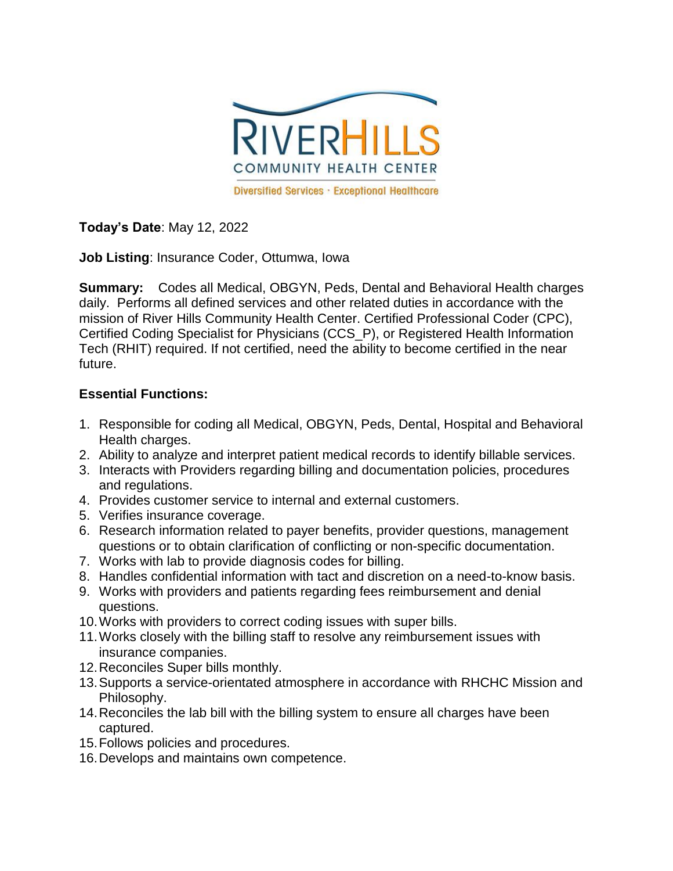

**Today's Date**: May 12, 2022

**Job Listing**: Insurance Coder, Ottumwa, Iowa

**Summary:** Codes all Medical, OBGYN, Peds, Dental and Behavioral Health charges daily. Performs all defined services and other related duties in accordance with the mission of River Hills Community Health Center. Certified Professional Coder (CPC), Certified Coding Specialist for Physicians (CCS\_P), or Registered Health Information Tech (RHIT) required. If not certified, need the ability to become certified in the near future.

## **Essential Functions:**

- 1. Responsible for coding all Medical, OBGYN, Peds, Dental, Hospital and Behavioral Health charges.
- 2. Ability to analyze and interpret patient medical records to identify billable services.
- 3. Interacts with Providers regarding billing and documentation policies, procedures and regulations.
- 4. Provides customer service to internal and external customers.
- 5. Verifies insurance coverage.
- 6. Research information related to payer benefits, provider questions, management questions or to obtain clarification of conflicting or non-specific documentation.
- 7. Works with lab to provide diagnosis codes for billing.
- 8. Handles confidential information with tact and discretion on a need-to-know basis.
- 9. Works with providers and patients regarding fees reimbursement and denial questions.
- 10.Works with providers to correct coding issues with super bills.
- 11.Works closely with the billing staff to resolve any reimbursement issues with insurance companies.
- 12.Reconciles Super bills monthly.
- 13.Supports a service-orientated atmosphere in accordance with RHCHC Mission and Philosophy.
- 14.Reconciles the lab bill with the billing system to ensure all charges have been captured.
- 15.Follows policies and procedures.
- 16.Develops and maintains own competence.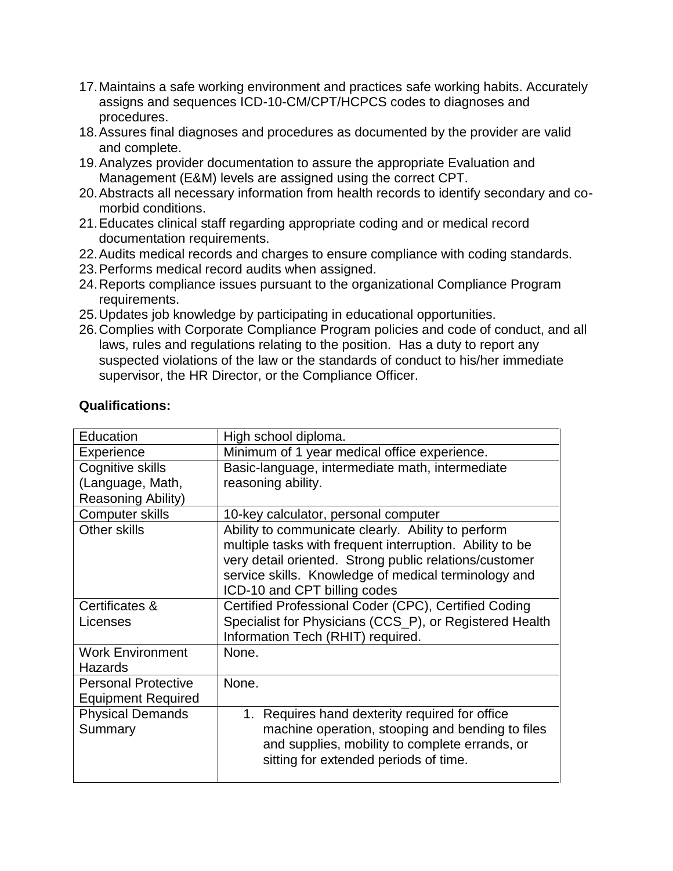- 17.Maintains a safe working environment and practices safe working habits. Accurately assigns and sequences ICD-10-CM/CPT/HCPCS codes to diagnoses and procedures.
- 18.Assures final diagnoses and procedures as documented by the provider are valid and complete.
- 19.Analyzes provider documentation to assure the appropriate Evaluation and Management (E&M) levels are assigned using the correct CPT.
- 20.Abstracts all necessary information from health records to identify secondary and comorbid conditions.
- 21.Educates clinical staff regarding appropriate coding and or medical record documentation requirements.
- 22.Audits medical records and charges to ensure compliance with coding standards.
- 23.Performs medical record audits when assigned.
- 24.Reports compliance issues pursuant to the organizational Compliance Program requirements.
- 25.Updates job knowledge by participating in educational opportunities.
- 26.Complies with Corporate Compliance Program policies and code of conduct, and all laws, rules and regulations relating to the position. Has a duty to report any suspected violations of the law or the standards of conduct to his/her immediate supervisor, the HR Director, or the Compliance Officer.

| Education                  | High school diploma.                                     |
|----------------------------|----------------------------------------------------------|
| Experience                 | Minimum of 1 year medical office experience.             |
| Cognitive skills           | Basic-language, intermediate math, intermediate          |
| (Language, Math,           | reasoning ability.                                       |
| <b>Reasoning Ability)</b>  |                                                          |
| <b>Computer skills</b>     | 10-key calculator, personal computer                     |
| Other skills               | Ability to communicate clearly. Ability to perform       |
|                            | multiple tasks with frequent interruption. Ability to be |
|                            | very detail oriented. Strong public relations/customer   |
|                            | service skills. Knowledge of medical terminology and     |
|                            | ICD-10 and CPT billing codes                             |
| Certificates &             | Certified Professional Coder (CPC), Certified Coding     |
| Licenses                   | Specialist for Physicians (CCS_P), or Registered Health  |
|                            | Information Tech (RHIT) required.                        |
| <b>Work Environment</b>    | None.                                                    |
| <b>Hazards</b>             |                                                          |
| <b>Personal Protective</b> | None.                                                    |
| <b>Equipment Required</b>  |                                                          |
| <b>Physical Demands</b>    | 1. Requires hand dexterity required for office           |
| Summary                    | machine operation, stooping and bending to files         |
|                            | and supplies, mobility to complete errands, or           |
|                            | sitting for extended periods of time.                    |
|                            |                                                          |

## **Qualifications:**